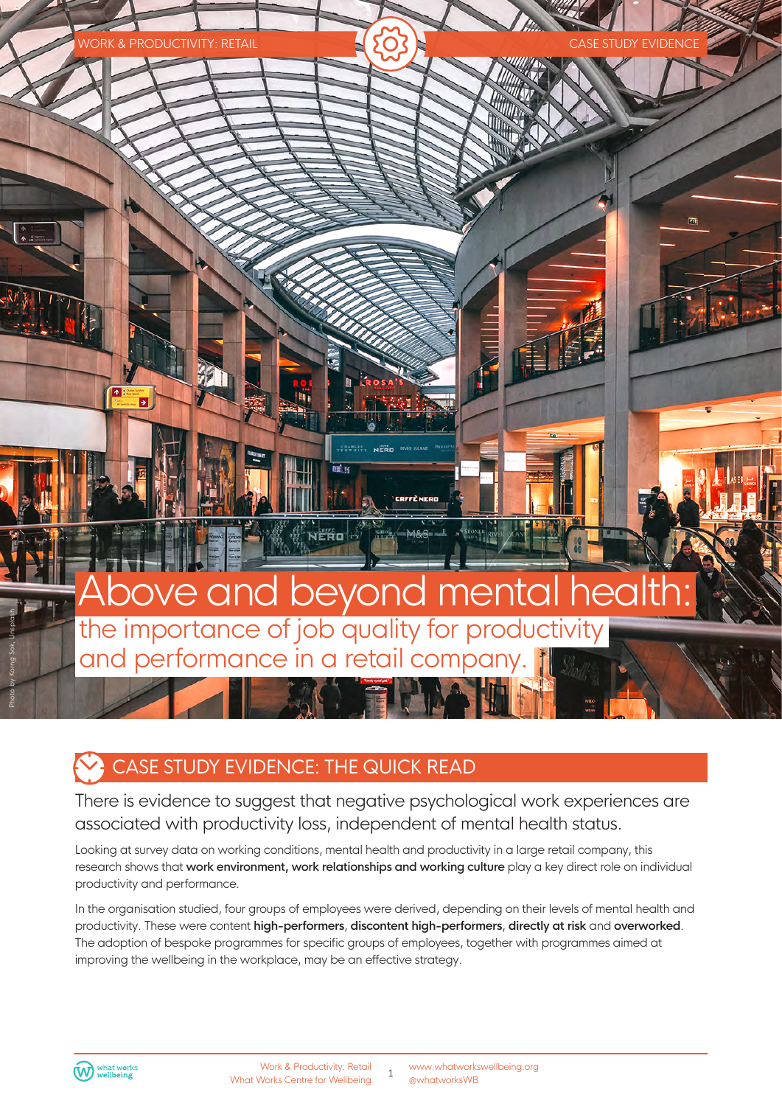

## CASE STUDY EVIDENCE: THE QUICK READ

There is evidence to suggest that negative psychological work experiences are associated with productivity loss, independent of mental health status.

Looking at survey data on working conditions, mental health and productivity in a large retail company, this research shows that work environment, work relationships and working culture play a key direct role on individual productivity and performance.

In the organisation studied, four groups of employees were derived, depending on their levels of mental health and productivity. These were content **high-performers**, **discontent high-performers**, **directly at risk** and **overworked**. The adoption of bespoke programmes for specific groups of employees, together with programmes aimed at improving the wellbeing in the workplace, may be an effective strategy.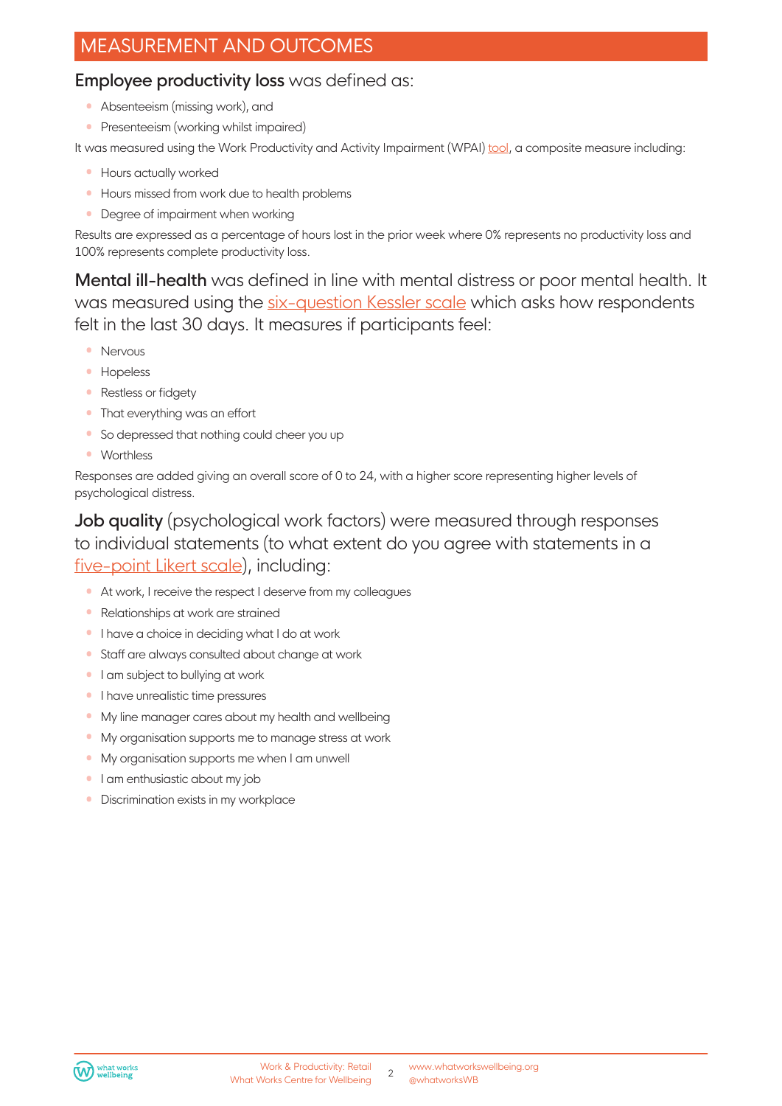## MEASUREMENT AND OUTCOMES

#### Employee productivity loss was defined as:

- Absenteeism (missing work), and
- Presenteeism (working whilst impaired)

It was measured using the Work Productivity and Activity Impairment (WPAI) [tool](www.reillyassociates.net/wpai_general.html), a composite measure including:

- Hours actually worked
- Hours missed from work due to health problems
- Degree of impairment when working

Results are expressed as a percentage of hours lost in the prior week where 0% represents no productivity loss and 100% represents complete productivity loss.

Mental ill-health was defined in line with mental distress or poor mental health. It was measured using the si[x-question Kessler scale](https://www.midss.org/content/k-6-distress-scale-self-administered/) which asks how respondents felt in the last 30 days. It measures if participants feel:

- Nervous
- Hopeless
- Restless or fidgety
- That everything was an effort
- So depressed that nothing could cheer you up
- Worthless

Responses are added giving an overall score of 0 to 24, with a higher score representing higher levels of psychological distress.

Job quality (psychological work factors) were measured through responses to individual statements (to what extent do you agree with statements in a fiv[e-point Likert scale](https://ppcexpo.com/blog/5-point-likert-scale-analysis)), including:

- At work, I receive the respect I deserve from my colleagues
- Relationships at work are strained
- I have a choice in deciding what I do at work
- Staff are always consulted about change at work
- I am subject to bullying at work
- I have unrealistic time pressures
- My line manager cares about my health and wellbeing
- My organisation supports me to manage stress at work
- My organisation supports me when I am unwell
- I am enthusiastic about my job
- Discrimination exists in my workplace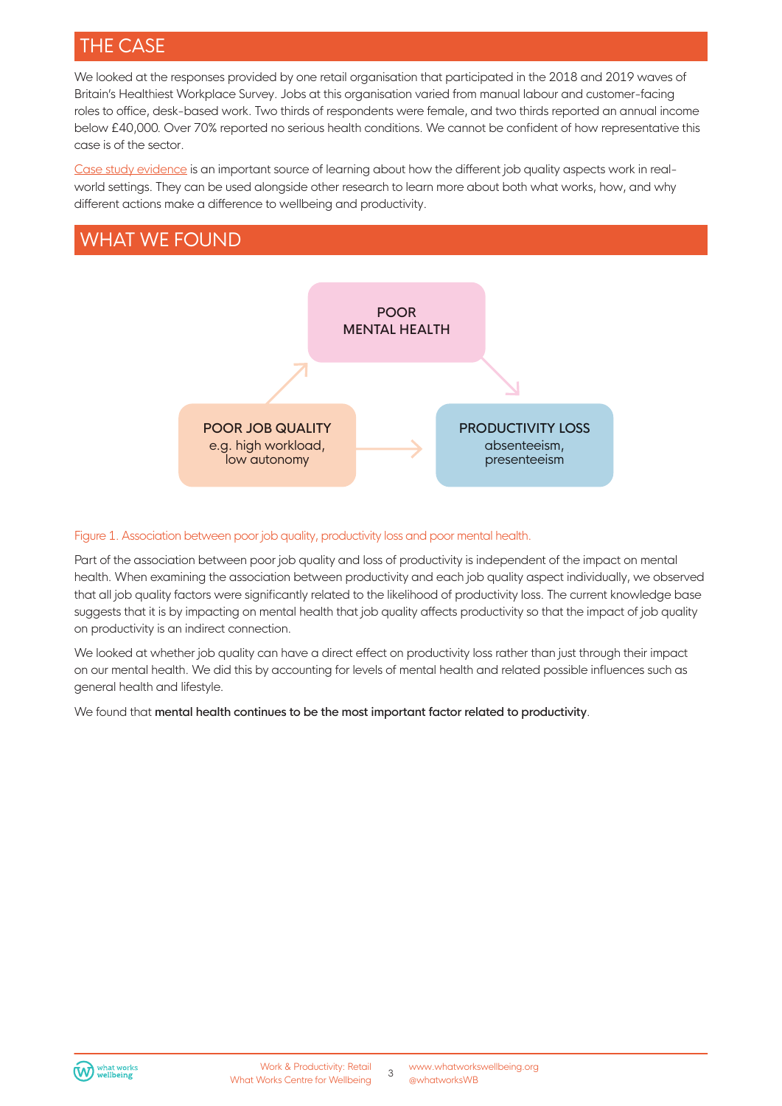## THE CASE

We looked at the responses provided by one retail organisation that participated in the 2018 and 2019 waves of Britain's Healthiest Workplace Survey. Jobs at this organisation varied from manual labour and customer-facing roles to office, desk-based work. Two thirds of respondents were female, and two thirds reported an annual income below £40,000. Over 70% reported no serious health conditions. We cannot be confident of how representative this case is of the sector.

[Case study evidence](https://whatworkswellbeing.org/resources/guide-to-effective-case-studies/) is an important source of learning about how the different job quality aspects work in realworld settings. They can be used alongside other research to learn more about both what works, how, and why different actions make a difference to wellbeing and productivity.

## WHAT WE FOUND



#### Figure 1. Association between poor job quality, productivity loss and poor mental health.

Part of the association between poor job quality and loss of productivity is independent of the impact on mental health. When examining the association between productivity and each job quality aspect individually, we observed that all job quality factors were significantly related to the likelihood of productivity loss. The current knowledge base suggests that it is by impacting on mental health that job quality affects productivity so that the impact of job quality on productivity is an indirect connection.

We looked at whether job quality can have a direct effect on productivity loss rather than just through their impact on our mental health. We did this by accounting for levels of mental health and related possible influences such as general health and lifestyle.

We found that mental health continues to be the most important factor related to productivity.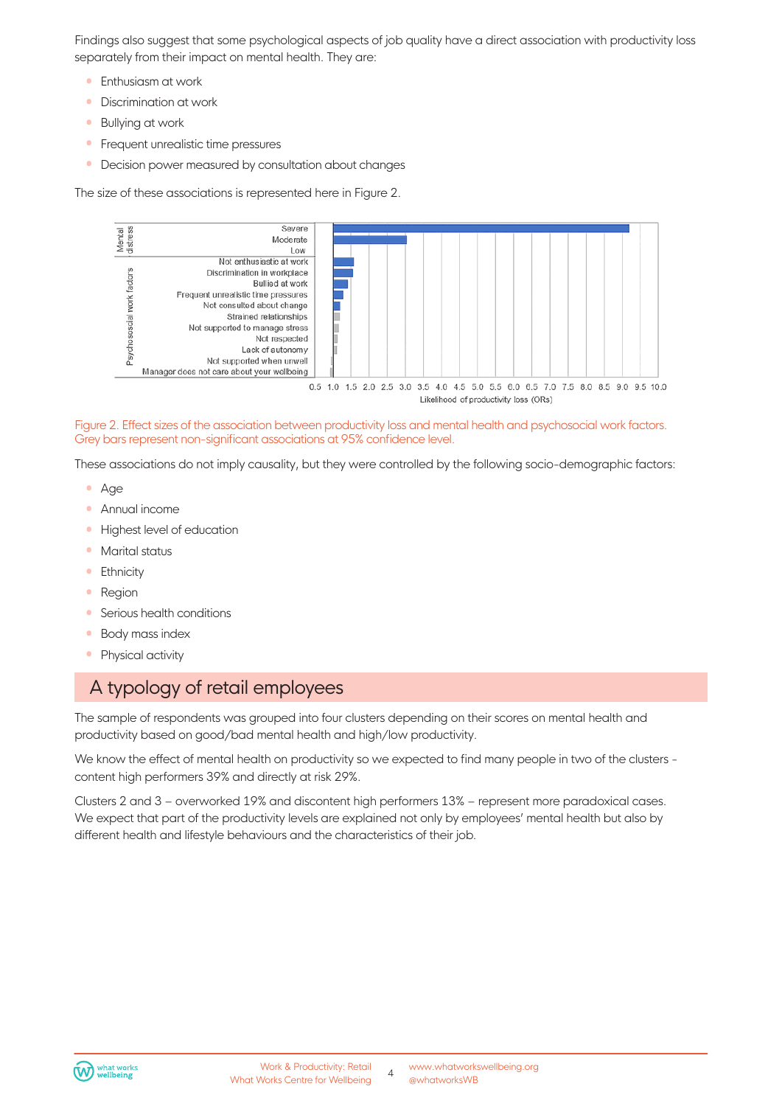Findings also suggest that some psychological aspects of job quality have a direct association with productivity loss separately from their impact on mental health. They are:

- **•** Enthusiasm at work
- Discrimination at work
- Bullying at work
- **•** Frequent unrealistic time pressures
- Decision power measured by consultation about changes

The size of these associations is represented here in Figure 2.



Figure 2. Effect sizes of the association between productivity loss and mental health and psychosocial work factors. Grey bars represent non-significant associations at 95% confidence level.

These associations do not imply causality, but they were controlled by the following socio-demographic factors:

- Age
- Annual income
- Highest level of education
- Marital status
- Ethnicity
- Region
- Serious health conditions
- Body mass index
- Physical activity

## A typology of retail employees

The sample of respondents was grouped into four clusters depending on their scores on mental health and productivity based on good/bad mental health and high/low productivity.

We know the effect of mental health on productivity so we expected to find many people in two of the clusters content high performers 39% and directly at risk 29%.

Clusters 2 and 3 – overworked 19% and discontent high performers 13% – represent more paradoxical cases. We expect that part of the productivity levels are explained not only by employees' mental health but also by different health and lifestyle behaviours and the characteristics of their job.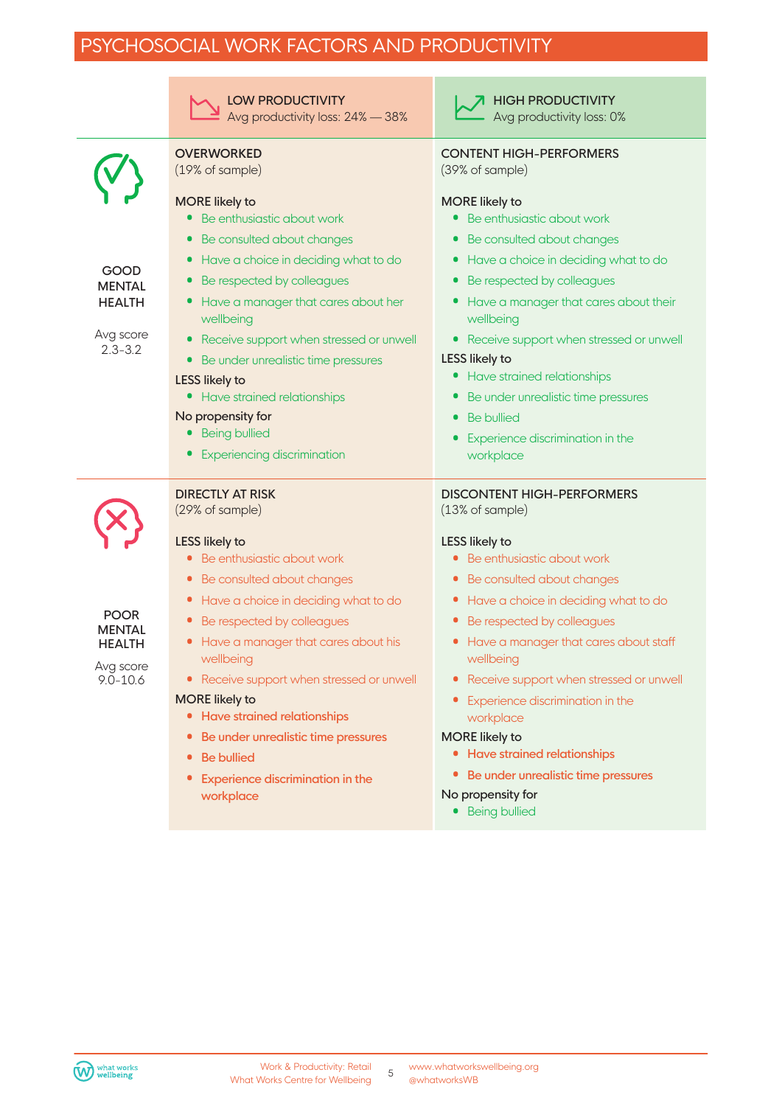# PSYCHOSOCIAL WORK FACTORS AND PRODUCTIVITY

|                                                                            | <b>LOW PRODUCTIVITY</b><br>Avg productivity loss: 24% - 38%                                                                                                                                                                                                                                                                                                                                                                                                                                                               | <b>HIGH PRODUCTIVITY</b><br>Avg productivity loss: 0%                                                                                                                                                                                                                                                                                                                                                                                             |
|----------------------------------------------------------------------------|---------------------------------------------------------------------------------------------------------------------------------------------------------------------------------------------------------------------------------------------------------------------------------------------------------------------------------------------------------------------------------------------------------------------------------------------------------------------------------------------------------------------------|---------------------------------------------------------------------------------------------------------------------------------------------------------------------------------------------------------------------------------------------------------------------------------------------------------------------------------------------------------------------------------------------------------------------------------------------------|
|                                                                            | <b>OVERWORKED</b><br>(19% of sample)                                                                                                                                                                                                                                                                                                                                                                                                                                                                                      | <b>CONTENT HIGH-PERFORMERS</b><br>(39% of sample)                                                                                                                                                                                                                                                                                                                                                                                                 |
| GOOD<br><b>MENTAL</b><br><b>HEALTH</b><br>Avg score<br>$2.3 - 3.2$         | <b>MORE</b> likely to<br>Be enthusiastic about work<br>$\bullet$<br>Be consulted about changes<br>$\bullet$<br>Have a choice in deciding what to do<br>Be respected by colleagues<br>Have a manager that cares about her<br>$\bullet$<br>wellbeing<br>Receive support when stressed or unwell<br>$\bullet$<br>Be under unrealistic time pressures<br>$\bullet$<br><b>LESS likely to</b><br>• Have strained relationships<br>No propensity for<br><b>Being bullied</b><br>$\bullet$<br><b>Experiencing discrimination</b>  | <b>MORE</b> likely to<br>• Be enthusiastic about work<br>Be consulted about changes<br>Have a choice in deciding what to do<br>Be respected by colleagues<br>Have a manager that cares about their<br>wellbeing<br>Receive support when stressed or unwell<br>$\bullet$<br>LESS likely to<br>Have strained relationships<br>Be under unrealistic time pressures<br><b>Be bullied</b><br>Experience discrimination in the<br>workplace             |
|                                                                            | <b>DIRECTLY AT RISK</b><br>(29% of sample)                                                                                                                                                                                                                                                                                                                                                                                                                                                                                | <b>DISCONTENT HIGH-PERFORMERS</b><br>(13% of sample)                                                                                                                                                                                                                                                                                                                                                                                              |
| <b>POOR</b><br><b>MENTAL</b><br><b>HEALTH</b><br>Avg score<br>$9.0 - 10.6$ | <b>LESS likely to</b><br>Be enthusiastic about work<br>Be consulted about changes<br>Have a choice in deciding what to do<br>$\bullet$<br>Be respected by colleagues<br>$\bullet$<br>Have a manager that cares about his<br>$\bullet$<br>wellbeing<br>• Receive support when stressed or unwell<br><b>MORE</b> likely to<br><b>Have strained relationships</b><br>$\bullet$<br>Be under unrealistic time pressures<br>$\bullet$<br><b>Be bullied</b><br>$\bullet$<br><b>Experience discrimination in the</b><br>workplace | LESS likely to<br>Be enthusiastic about work<br>Be consulted about changes<br>• Have a choice in deciding what to do<br>Be respected by colleagues<br>Have a manager that cares about staff<br>wellbeing<br>• Receive support when stressed or unwell<br>Experience discrimination in the<br>workplace<br><b>MORE</b> likely to<br>• Have strained relationships<br>• Be under unrealistic time pressures<br>No propensity for<br>• Being bullied |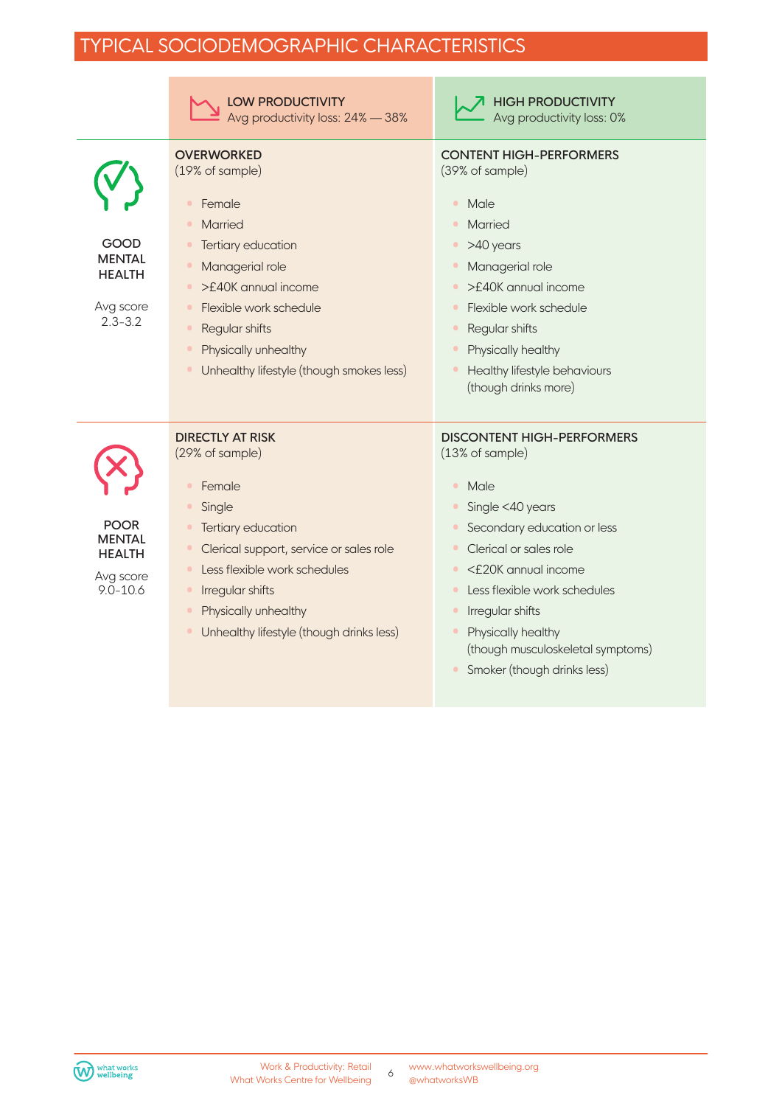## TYPICAL SOCIODEMOGRAPHIC CHARACTERISTICS

|                                                                            | <b>LOW PRODUCTIVITY</b><br>Avg productivity loss: 24% - 38%                                                                                                                                                                                                                                                 | <b>HIGH PRODUCTIVITY</b><br>Avg productivity loss: 0%                                                                                                                                                                                                                                                                                                                           |
|----------------------------------------------------------------------------|-------------------------------------------------------------------------------------------------------------------------------------------------------------------------------------------------------------------------------------------------------------------------------------------------------------|---------------------------------------------------------------------------------------------------------------------------------------------------------------------------------------------------------------------------------------------------------------------------------------------------------------------------------------------------------------------------------|
| GOOD<br><b>MENTAL</b><br><b>HEALTH</b><br>Avg score<br>$2.3 - 3.2$         | <b>OVERWORKED</b><br>(19% of sample)<br>Female<br>$\bullet$<br>Married<br>$\bullet$<br>Tertiary education<br>$\bullet$<br>Managerial role<br>$\bullet$<br>>£40K annual income<br>$\bullet$<br>Flexible work schedule<br>$\bullet$                                                                           | <b>CONTENT HIGH-PERFORMERS</b><br>(39% of sample)<br>Male<br>$\bullet$<br><b>Married</b><br>>40 years<br>$\bullet$<br>Managerial role<br>>£40K annual income<br>Flexible work schedule<br>$\bullet$                                                                                                                                                                             |
|                                                                            | Regular shifts<br>$\bullet$<br>Physically unhealthy<br>$\bullet$<br>Unhealthy lifestyle (though smokes less)                                                                                                                                                                                                | Regular shifts<br>$\bullet$<br>Physically healthy<br>Healthy lifestyle behaviours<br>(though drinks more)                                                                                                                                                                                                                                                                       |
| <b>POOR</b><br><b>MENTAL</b><br><b>HEALTH</b><br>Avg score<br>$9.0 - 10.6$ | <b>DIRECTLY AT RISK</b><br>(29% of sample)<br>Female<br>$\bullet$<br>Single<br>Tertiary education<br>Clerical support, service or sales role<br>$\bullet$<br>Less flexible work schedules<br>Irregular shifts<br>$\bullet$<br>Physically unhealthy<br>$\bullet$<br>Unhealthy lifestyle (though drinks less) | <b>DISCONTENT HIGH-PERFORMERS</b><br>(13% of sample)<br>Male<br>$\bullet$<br>Single <40 years<br>Secondary education or less<br>Clerical or sales role<br>$\bullet$<br><£20K annual income<br>$\bullet$<br>Less flexible work schedules<br>$\bullet$<br>Irregular shifts<br>$\bullet$<br>Physically healthy<br>(though musculoskeletal symptoms)<br>Smoker (though drinks less) |

www.whatworkswellbeing.org www.wnatworks<br>@whatworksWB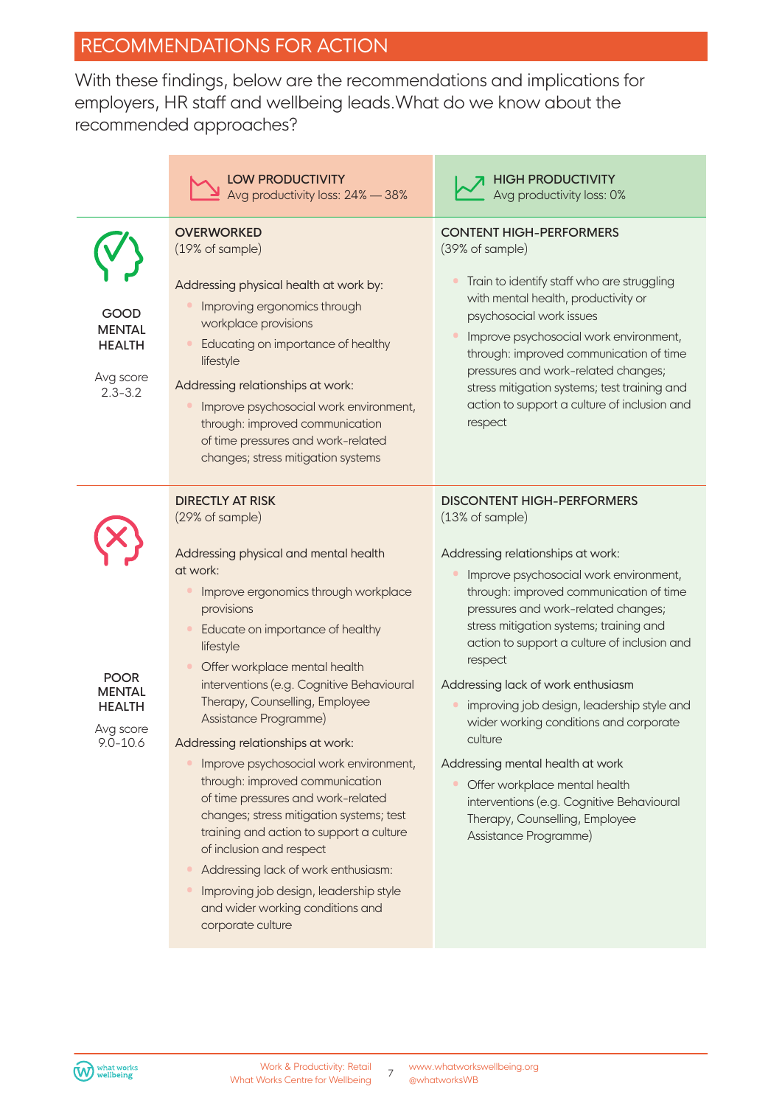## RECOMMENDATIONS FOR ACTION

With these findings, below are the recommendations and implications for employers, HR staff and wellbeing leads.What do we know about the recommended approaches?

|                                                                            | <b>LOW PRODUCTIVITY</b><br>Avg productivity loss: 24% - 38%                                                                                                                                                                                                                                                                                                                                                                                                                                             | <b>HIGH PRODUCTIVITY</b><br>Avg productivity loss: 0%                                                                                                                                                                                                                                                                                                                                                                                                                                                                                                                                  |
|----------------------------------------------------------------------------|---------------------------------------------------------------------------------------------------------------------------------------------------------------------------------------------------------------------------------------------------------------------------------------------------------------------------------------------------------------------------------------------------------------------------------------------------------------------------------------------------------|----------------------------------------------------------------------------------------------------------------------------------------------------------------------------------------------------------------------------------------------------------------------------------------------------------------------------------------------------------------------------------------------------------------------------------------------------------------------------------------------------------------------------------------------------------------------------------------|
| GOOD<br><b>MENTAL</b><br><b>HEALTH</b><br>Avg score<br>$2.3 - 3.2$         | <b>OVERWORKED</b><br>(19% of sample)<br>Addressing physical health at work by:<br>Improving ergonomics through<br>workplace provisions<br>Educating on importance of healthy<br>lifestyle<br>Addressing relationships at work:<br>Improve psychosocial work environment,<br>through: improved communication<br>of time pressures and work-related<br>changes; stress mitigation systems                                                                                                                 | <b>CONTENT HIGH-PERFORMERS</b><br>(39% of sample)<br>Train to identify staff who are struggling<br>with mental health, productivity or<br>psychosocial work issues<br>Improve psychosocial work environment,<br>through: improved communication of time<br>pressures and work-related changes;<br>stress mitigation systems; test training and<br>action to support a culture of inclusion and<br>respect                                                                                                                                                                              |
| <b>POOR</b><br><b>MENTAL</b><br><b>HEALTH</b><br>Avg score<br>$9.0 - 10.6$ | <b>DIRECTLY AT RISK</b><br>(29% of sample)<br>Addressing physical and mental health<br>at work:<br>Improve ergonomics through workplace<br>provisions<br>Educate on importance of healthy<br>lifestyle<br>Offer workplace mental health<br>interventions (e.g. Cognitive Behavioural<br>Therapy, Counselling, Employee<br>Assistance Programme)<br>Addressing relationships at work:<br>Improve psychosocial work environment,<br>through: improved communication<br>of time pressures and work-related | <b>DISCONTENT HIGH-PERFORMERS</b><br>(13% of sample)<br>Addressing relationships at work:<br>Improve psychosocial work environment,<br>through: improved communication of time<br>pressures and work-related changes;<br>stress mitigation systems; training and<br>action to support a culture of inclusion and<br>respect<br>Addressing lack of work enthusiasm<br>improving job design, leadership style and<br>wider working conditions and corporate<br>culture<br>Addressing mental health at work<br>Offer workplace mental health<br>interventions (e.g. Cognitive Behavioural |
|                                                                            | changes; stress mitigation systems; test<br>training and action to support a culture<br>of inclusion and respect<br>Addressing lack of work enthusiasm:<br>Improving job design, leadership style<br>and wider working conditions and<br>corporate culture                                                                                                                                                                                                                                              | Therapy, Counselling, Employee<br>Assistance Programme)                                                                                                                                                                                                                                                                                                                                                                                                                                                                                                                                |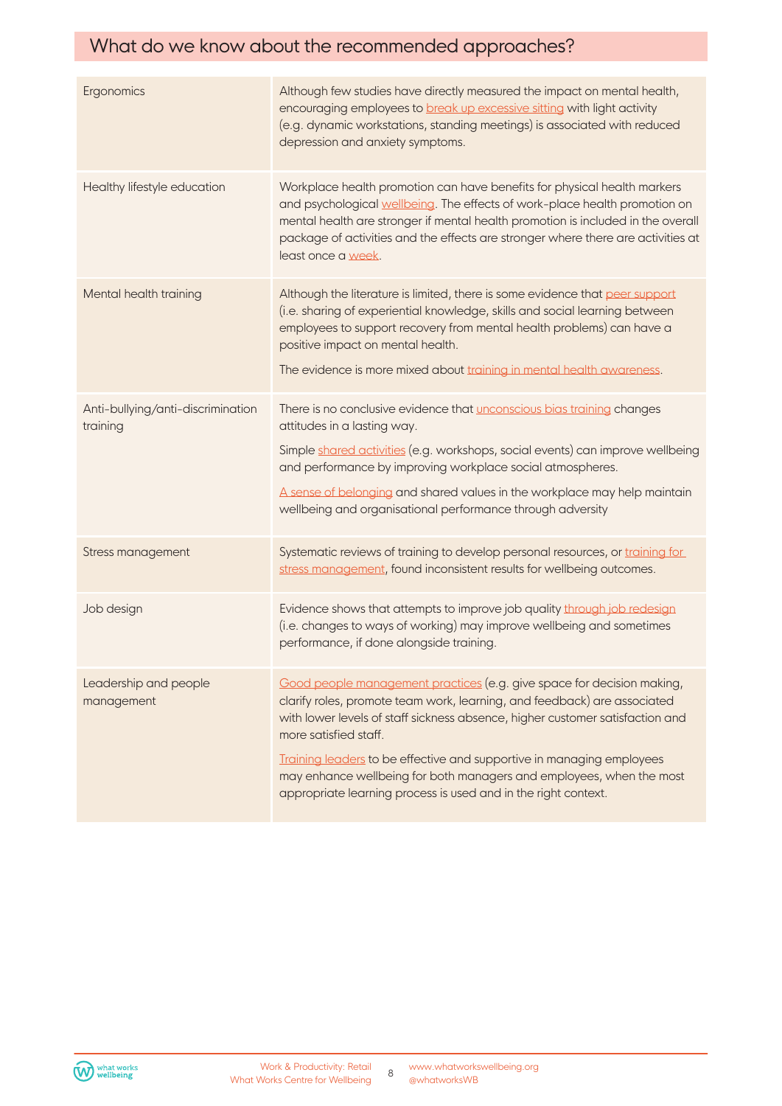## What do we know about the recommended approaches?

| Ergonomics                                    | Although few studies have directly measured the impact on mental health,<br>encouraging employees to break up excessive sitting with light activity<br>(e.g. dynamic workstations, standing meetings) is associated with reduced<br>depression and anxiety symptoms.                                                                                                                                                                                                            |
|-----------------------------------------------|---------------------------------------------------------------------------------------------------------------------------------------------------------------------------------------------------------------------------------------------------------------------------------------------------------------------------------------------------------------------------------------------------------------------------------------------------------------------------------|
| Healthy lifestyle education                   | Workplace health promotion can have benefits for physical health markers<br>and psychological wellbeing. The effects of work-place health promotion on<br>mental health are stronger if mental health promotion is included in the overall<br>package of activities and the effects are stronger where there are activities at<br>least once a week.                                                                                                                            |
| Mental health training                        | Although the literature is limited, there is some evidence that peer support<br>(i.e. sharing of experiential knowledge, skills and social learning between<br>employees to support recovery from mental health problems) can have a<br>positive impact on mental health.<br>The evidence is more mixed about training in mental health awareness.                                                                                                                              |
| Anti-bullying/anti-discrimination<br>training | There is no conclusive evidence that unconscious bias training changes<br>attitudes in a lasting way.<br>Simple shared activities (e.g. workshops, social events) can improve wellbeing<br>and performance by improving workplace social atmospheres.<br>A sense of belonging and shared values in the workplace may help maintain<br>wellbeing and organisational performance through adversity                                                                                |
| Stress management                             | Systematic reviews of training to develop personal resources, or training for<br>stress management, found inconsistent results for wellbeing outcomes.                                                                                                                                                                                                                                                                                                                          |
| Job design                                    | Evidence shows that attempts to improve job quality through job redesign<br>(i.e. changes to ways of working) may improve wellbeing and sometimes<br>performance, if done alongside training.                                                                                                                                                                                                                                                                                   |
| Leadership and people<br>management           | Good people management practices (e.g. give space for decision making,<br>clarify roles, promote team work, learning, and feedback) are associated<br>with lower levels of staff sickness absence, higher customer satisfaction and<br>more satisfied staff.<br>Training leaders to be effective and supportive in managing employees<br>may enhance wellbeing for both managers and employees, when the most<br>appropriate learning process is used and in the right context. |